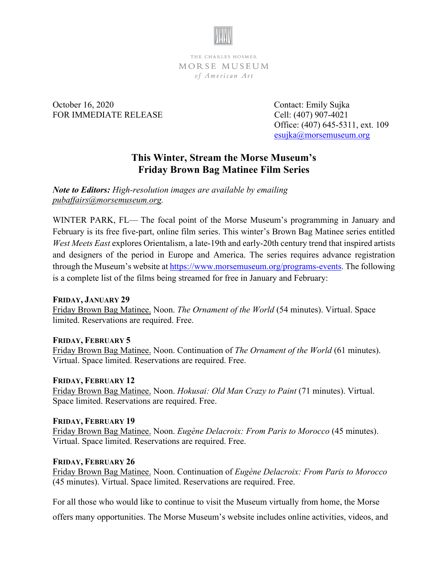

THE CHARLES HOSMER MORSE MUSEUM of American Art

October 16, 2020 Contact: Emily Sujka FOR IMMEDIATE RELEASE Cell: (407) 907-4021

 Office: (407) 645-5311, ext. 109 [esujka@morsemuseum.org](mailto:esujka@morsemuseum.org)

# **This Winter, Stream the Morse Museum's Friday Brown Bag Matinee Film Series**

*Note to Editors: High-resolution images are available by emailing [pubaffairs@morsemuseum.org.](mailto:pubaffairs@morsemuseum.org)* 

WINTER PARK, FL— The focal point of the Morse Museum's programming in January and February is its free five-part, online film series. This winter's Brown Bag Matinee series entitled *West Meets East* explores Orientalism, a late-19th and early-20th century trend that inspired artists and designers of the period in Europe and America. The series requires advance registration through the Museum's website at [https://www.morsemuseum.org/programs-events.](https://www.morsemuseum.org/programs-events) The following is a complete list of the films being streamed for free in January and February:

## **FRIDAY, JANUARY 29**

Friday Brown Bag Matinee. Noon. *The Ornament of the World* (54 minutes). Virtual. Space limited. Reservations are required. Free.

## **FRIDAY, FEBRUARY 5**

Friday Brown Bag Matinee. Noon. Continuation of *The Ornament of the World* (61 minutes). Virtual. Space limited. Reservations are required. Free.

## **FRIDAY, FEBRUARY 12**

Friday Brown Bag Matinee. Noon. *Hokusai: Old Man Crazy to Paint* (71 minutes). Virtual. Space limited. Reservations are required. Free.

## **FRIDAY, FEBRUARY 19**

Friday Brown Bag Matinee. Noon. *Eugène Delacroix: From Paris to Morocco* (45 minutes). Virtual. Space limited. Reservations are required. Free.

## **FRIDAY, FEBRUARY 26**

Friday Brown Bag Matinee. Noon. Continuation of *Eugène Delacroix: From Paris to Morocco* (45 minutes). Virtual. Space limited. Reservations are required. Free.

For all those who would like to continue to visit the Museum virtually from home, the Morse

offers many opportunities. The Morse Museum's website includes online activities, videos, and